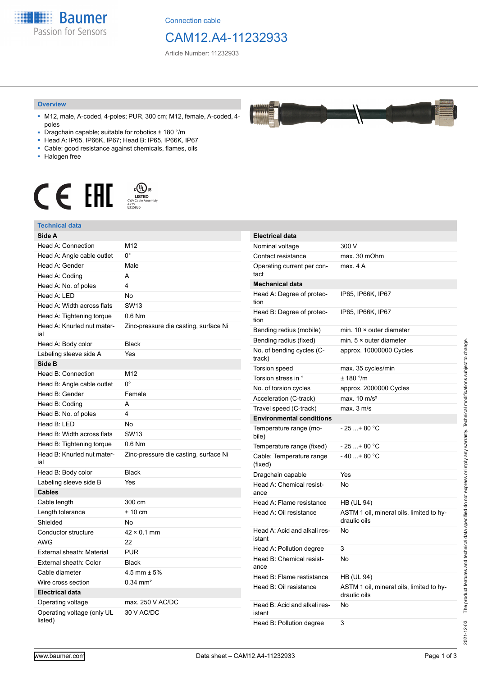**Baumer** Passion for Sensors

Connection cable

## CAM12.A4-11232933

Article Number: 11232933

#### **Overview**

- M12, male, A-coded, 4-poles; PUR, 300 cm; M12, female, A-coded, 4 poles
- Dragchain capable; suitable for robotics ± 180 °/m
- Head A: IP65, IP66K, IP67; Head B: IP65, IP66K, IP67
- Cable: good resistance against chemicals, flames, oils
- Halogen free



### **Technical data**

| IIIIval uata                          |                                       |                   |
|---------------------------------------|---------------------------------------|-------------------|
| Side A                                |                                       | <b>Electrio</b>   |
| Head A: Connection                    | M12                                   | Nomina            |
| Head A: Angle cable outlet            | 0°                                    | Contac            |
| Head A: Gender                        | Male                                  | Operati           |
| Head A: Coding                        | A                                     | tact              |
| Head A: No. of poles                  | 4                                     | Mecha             |
| Head A: LED                           | <b>No</b>                             | Head A            |
| Head A: Width across flats            | <b>SW13</b>                           | tion              |
| Head A: Tightening torque             | $0.6$ Nm                              | Head B<br>tion    |
| Head A: Knurled nut mater-<br>ial     | Zinc-pressure die casting, surface Ni | Bending           |
| Head A: Body color                    | <b>Black</b>                          | Bending           |
| Labeling sleeve side A                | Yes                                   | No. of b          |
| Side B                                |                                       | track)            |
| Head B: Connection                    | M12                                   | Torsion           |
| Head B: Angle cable outlet            | $0^{\circ}$                           | Torsion           |
| Head B: Gender                        | Female                                | No. of t          |
| Head B: Coding                        | A                                     | Acceler           |
| Head B: No. of poles                  | 4                                     | Travel s          |
| Head B: LED                           | No                                    | Enviro            |
| Head B: Width across flats            | <b>SW13</b>                           | Temper<br>bile)   |
| Head B: Tightening torque             | $0.6$ Nm                              | Temper            |
| Head B: Knurled nut mater-<br>ial     | Zinc-pressure die casting, surface Ni | Cable:<br>(fixed) |
| Head B: Body color                    | <b>Black</b>                          | Dragch            |
| Labeling sleeve side B                | Yes                                   | Head A            |
| <b>Cables</b>                         |                                       | ance              |
| Cable length                          | 300 cm                                | Head A            |
| Length tolerance                      | $+10$ cm                              | Head A            |
| Shielded                              | No                                    |                   |
| Conductor structure                   | $42 \times 0.1$ mm                    | Head A            |
| <b>AWG</b>                            | 22                                    | istant            |
| External sheath: Material             | <b>PUR</b>                            | Head A            |
| External sheath: Color                | <b>Black</b>                          | Head B<br>ance    |
| Cable diameter                        | 4.5 mm $\pm$ 5%                       | Head B            |
| Wire cross section                    | $0.34$ mm <sup>2</sup>                | Head B            |
| <b>Electrical data</b>                |                                       |                   |
| Operating voltage                     | max. 250 V AC/DC                      | Head B            |
| Operating voltage (only UL<br>listed) | 30 V AC/DC                            | istant<br>Hood R  |
|                                       |                                       |                   |

| Electrical data                        |                                                          |
|----------------------------------------|----------------------------------------------------------|
| Nominal voltage                        | 300 V                                                    |
| Contact resistance                     | max. 30 mOhm                                             |
| Operating current per con-<br>tact     | max. 4 A                                                 |
| <b>Mechanical data</b>                 |                                                          |
| Head A: Degree of protec-<br>tion      | IP65, IP66K, IP67                                        |
| Head B: Degree of protec-<br>tion      | IP65, IP66K, IP67                                        |
| Bending radius (mobile)                | min. $10 \times$ outer diameter                          |
| Bending radius (fixed)                 | min. $5 \times$ outer diameter                           |
| No. of bending cycles (C-<br>track)    | approx. 10000000 Cycles                                  |
| Torsion speed                          | max. 35 cycles/min                                       |
| Torsion stress in °                    | ± 180 °/m                                                |
| No. of torsion cycles                  | approx. 2000000 Cycles                                   |
| Acceleration (C-track)                 | max. $10 \text{ m/s}^2$                                  |
| Travel speed (C-track)                 | max. 3 m/s                                               |
| <b>Environmental conditions</b>        |                                                          |
| Temperature range (mo-<br>bile)        | $-25+80 °C$                                              |
| Temperature range (fixed)              | $-25+80 °C$                                              |
| Cable: Temperature range<br>(fixed)    | $-40+80 °C$                                              |
| Dragchain capable                      | Yes                                                      |
| Head A: Chemical resist-<br>ance       | No                                                       |
| Head A: Flame resistance               | <b>HB (UL 94)</b>                                        |
| Head A: Oil resistance                 | ASTM 1 oil, mineral oils, limited to hy-<br>draulic oils |
| Head A: Acid and alkali res-<br>istant | No                                                       |
| Head A: Pollution degree               | 3                                                        |
| Head B: Chemical resist-<br>ance       | No                                                       |
| Head B: Flame restistance              | <b>HB (UL 94)</b>                                        |
| Head B: Oil resistance                 | ASTM 1 oil, mineral oils, limited to hy-<br>draulic oils |
| Head B: Acid and alkali res-           | No                                                       |

Head B: Pollution degree 3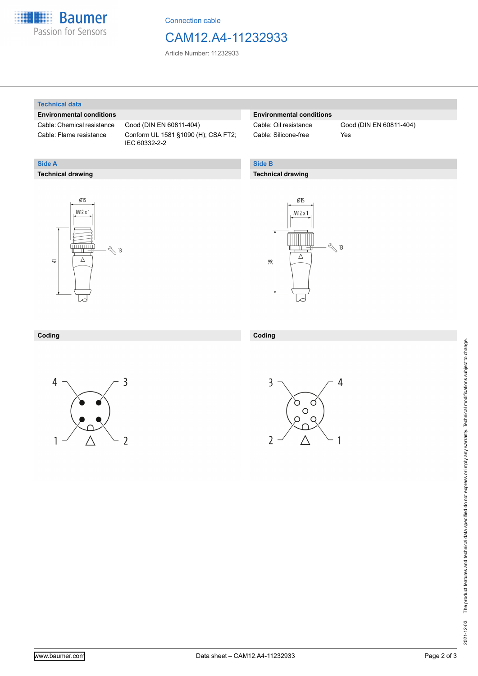

Connection cable

### CAM12.A4-11232933

Article Number: 11232933

#### **Technical data**

**Technical drawing**

**Side A**

#### **Environmental conditions**

Cable: Chemical resistance Good (DIN EN 60811-404)

Cable: Flame resistance Conform UL 1581 §1090 (H); CSA FT2; IEC 60332-2-2

#### **Environmental conditions**

Cable: Silicone-free Yes

Cable: Oil resistance Good (DIN EN 60811-404)

### **Side B**

#### **Technical drawing**





#### **Coding Coding**